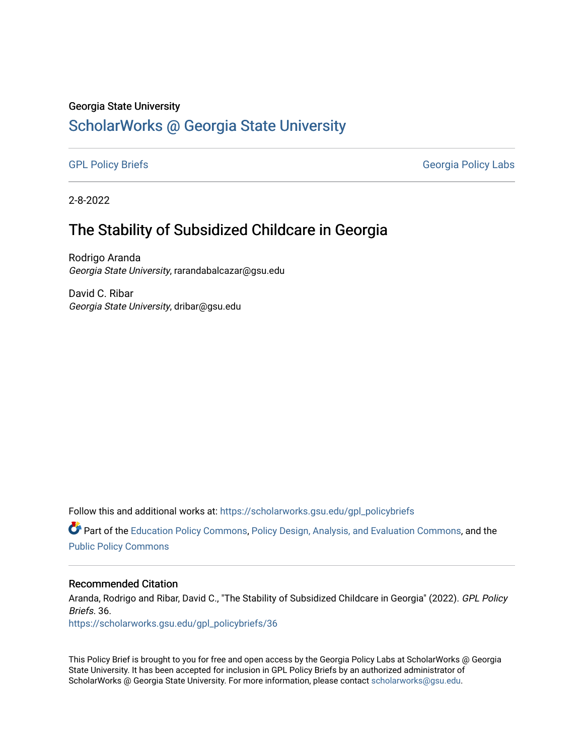#### Georgia State University

# [ScholarWorks @ Georgia State University](https://scholarworks.gsu.edu/)

[GPL Policy Briefs](https://scholarworks.gsu.edu/gpl_policybriefs) Georgia Policy Labs

2-8-2022

## The Stability of Subsidized Childcare in Georgia

Rodrigo Aranda Georgia State University, rarandabalcazar@gsu.edu

David C. Ribar Georgia State University, dribar@gsu.edu

Follow this and additional works at: [https://scholarworks.gsu.edu/gpl\\_policybriefs](https://scholarworks.gsu.edu/gpl_policybriefs?utm_source=scholarworks.gsu.edu%2Fgpl_policybriefs%2F36&utm_medium=PDF&utm_campaign=PDFCoverPages) 

**C** Part of the [Education Policy Commons](http://network.bepress.com/hgg/discipline/1026?utm_source=scholarworks.gsu.edu%2Fgpl_policybriefs%2F36&utm_medium=PDF&utm_campaign=PDFCoverPages), [Policy Design, Analysis, and Evaluation Commons,](http://network.bepress.com/hgg/discipline/1032?utm_source=scholarworks.gsu.edu%2Fgpl_policybriefs%2F36&utm_medium=PDF&utm_campaign=PDFCoverPages) and the [Public Policy Commons](http://network.bepress.com/hgg/discipline/400?utm_source=scholarworks.gsu.edu%2Fgpl_policybriefs%2F36&utm_medium=PDF&utm_campaign=PDFCoverPages)

#### Recommended Citation

Aranda, Rodrigo and Ribar, David C., "The Stability of Subsidized Childcare in Georgia" (2022). GPL Policy Briefs. 36.

[https://scholarworks.gsu.edu/gpl\\_policybriefs/36](https://scholarworks.gsu.edu/gpl_policybriefs/36?utm_source=scholarworks.gsu.edu%2Fgpl_policybriefs%2F36&utm_medium=PDF&utm_campaign=PDFCoverPages)

This Policy Brief is brought to you for free and open access by the Georgia Policy Labs at ScholarWorks @ Georgia State University. It has been accepted for inclusion in GPL Policy Briefs by an authorized administrator of ScholarWorks @ Georgia State University. For more information, please contact [scholarworks@gsu.edu](mailto:scholarworks@gsu.edu).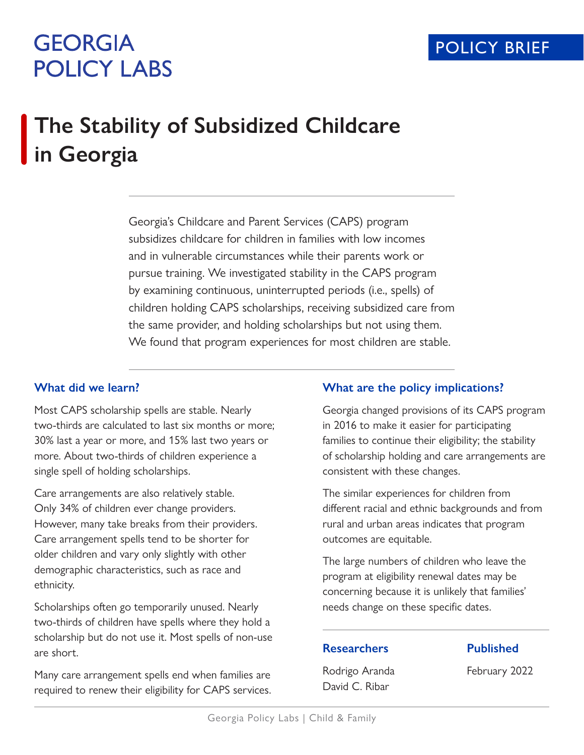# **GEORGIA POLICY LABS**

# **The Stability of Subsidized Childcare in Georgia**

Georgia's Childcare and Parent Services (CAPS) program subsidizes childcare for children in families with low incomes and in vulnerable circumstances while their parents work or pursue training. We investigated stability in the CAPS program by examining continuous, uninterrupted periods (i.e., spells) of children holding CAPS scholarships, receiving subsidized care from the same provider, and holding scholarships but not using them. We found that program experiences for most children are stable.

## **What did we learn?**

Most CAPS scholarship spells are stable. Nearly two-thirds are calculated to last six months or more; 30% last a year or more, and 15% last two years or more. About two-thirds of children experience a single spell of holding scholarships.

Care arrangements are also relatively stable. Only 34% of children ever change providers. However, many take breaks from their providers. Care arrangement spells tend to be shorter for older children and vary only slightly with other demographic characteristics, such as race and ethnicity.

Scholarships often go temporarily unused. Nearly two-thirds of children have spells where they hold a scholarship but do not use it. Most spells of non-use are short.

Many care arrangement spells end when families are required to renew their eligibility for CAPS services.

## **What are the policy implications?**

Georgia changed provisions of its CAPS program in 2016 to make it easier for participating families to continue their eligibility; the stability of scholarship holding and care arrangements are consistent with these changes.

The similar experiences for children from different racial and ethnic backgrounds and from rural and urban areas indicates that program outcomes are equitable.

The large numbers of children who leave the program at eligibility renewal dates may be concerning because it is unlikely that families' needs change on these specific dates.

## **Researchers**

**Published**

Rodrigo Aranda David C. Ribar

February 2022